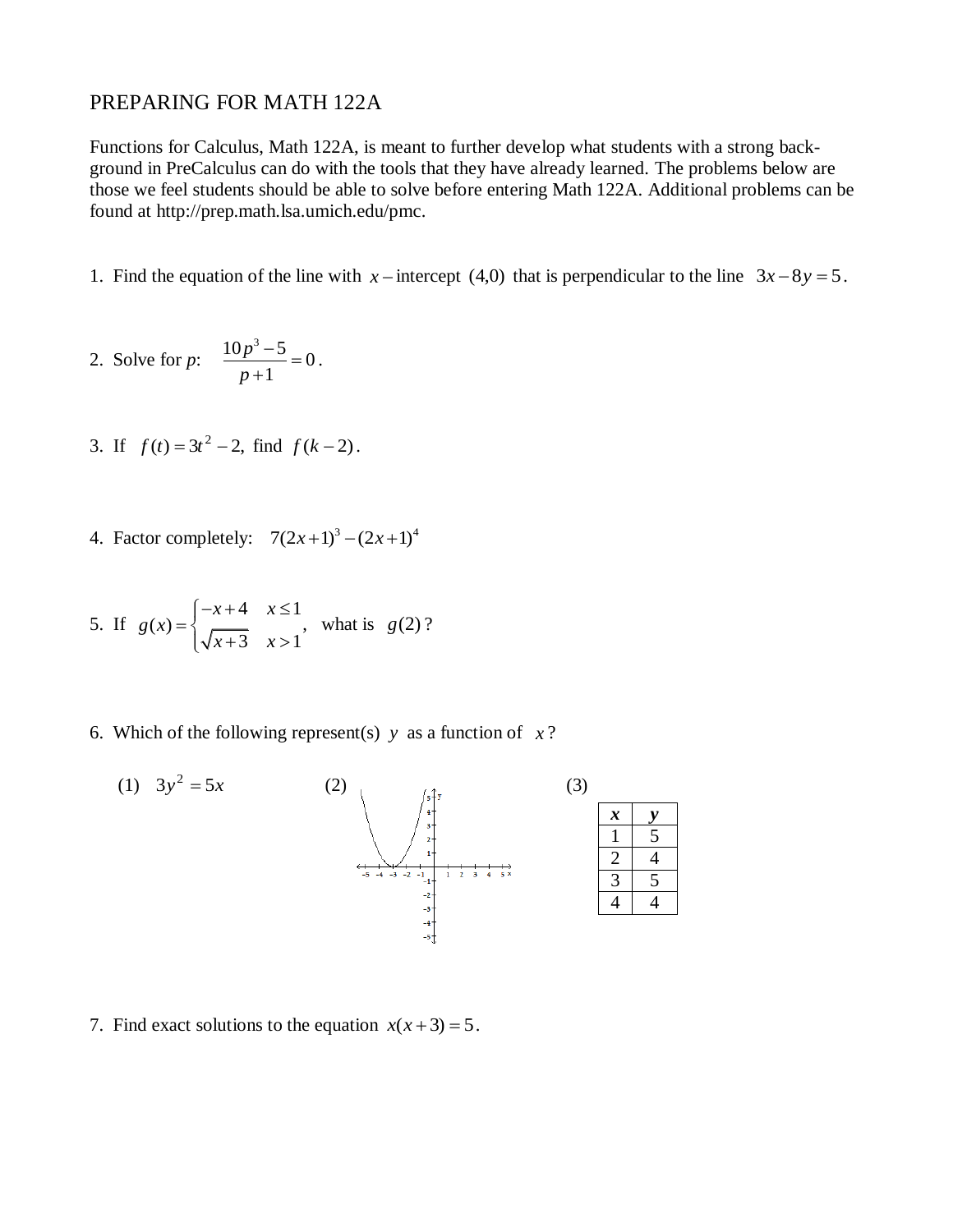## PREPARING FOR MATH 122A

Functions for Calculus, Math 122A, is meant to further develop what students with a strong background in PreCalculus can do with the tools that they have already learned. The problems below are those we feel students should be able to solve before entering Math 122A. Additional problems can be found at [http://prep.math.lsa.umich.edu/pmc.](http://prep.math.lsa.umich.edu/pmc)

- 1. Find the equation of the line with  $x$  intercept (4,0) that is perpendicular to the line  $3x 8y = 5$ .
- 2. Solve for *p*:  $\frac{10p^3-5}{1}=0$ 1 *p p*  $\frac{-5}{4}$  $\ddot{}$ .
- 3. If  $f(t) = 3t^2 2$ , find  $f(k-2)$ .
- 4. Factor completely:  $7(2x+1)^3 (2x+1)^4$

5. If 
$$
g(x) = \begin{cases} -x+4 & x \le 1 \\ \sqrt{x+3} & x > 1 \end{cases}
$$
, what is  $g(2)$ ?

6. Which of the following represent(s)  $y$  as a function of  $x$ ?



7. Find exact solutions to the equation  $x(x+3) = 5$ .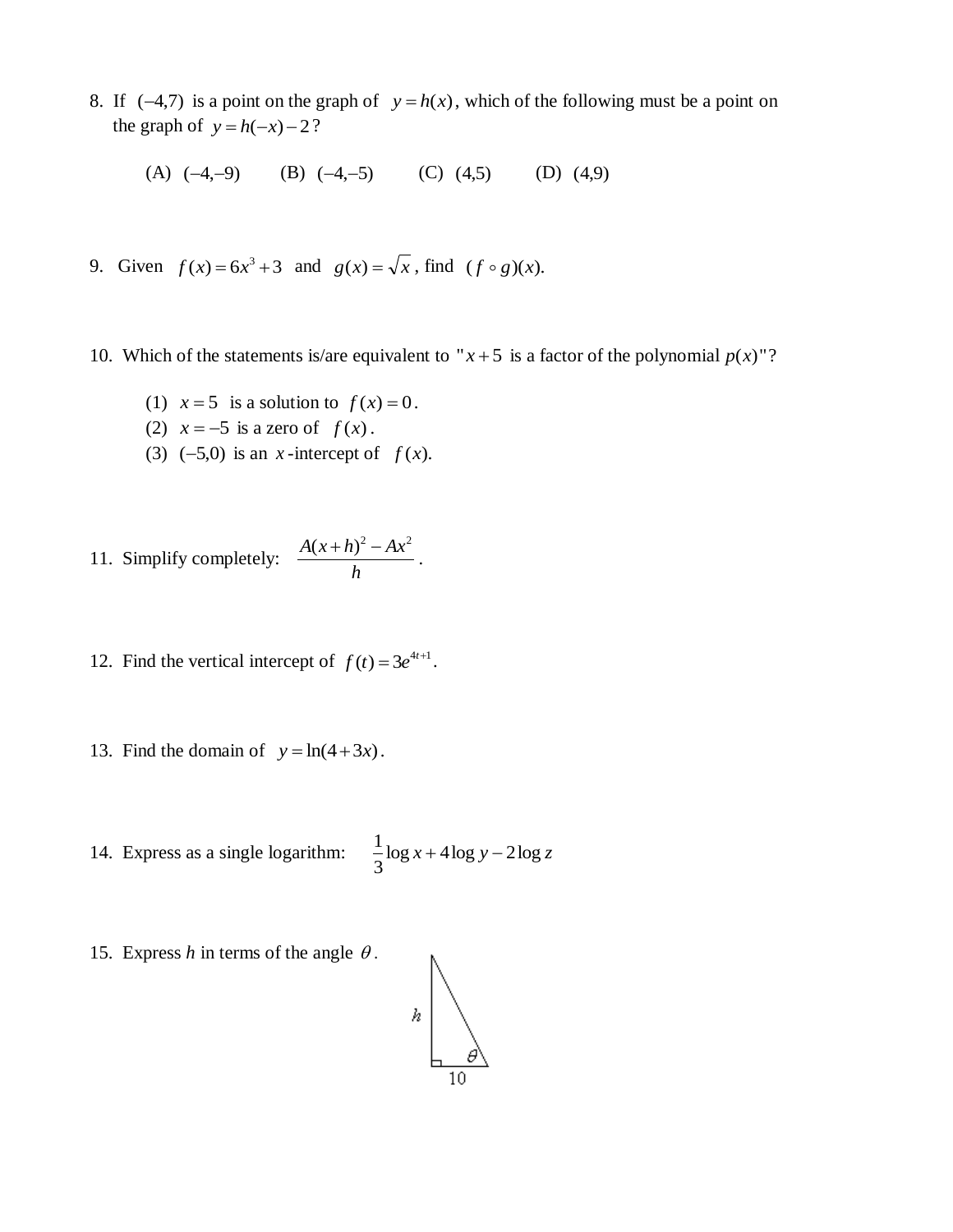8. If  $(-4,7)$  is a point on the graph of  $y = h(x)$ , which of the following must be a point on the graph of  $y = h(-x) - 2$ ?

(A)  $(-4,-9)$  (B)  $(-4,-5)$  (C)  $(4,5)$  (D) (4,9)

- 9. Given  $f(x) = 6x^3 + 3$  and  $g(x) = \sqrt{x}$ , find  $(f \circ g)(x)$ .
- 10. Which of the statements is/are equivalent to " $x + 5$  is a factor of the polynomial  $p(x)$ "?
	- (1)  $x = 5$  is a solution to  $f(x) = 0$ .
	- (2)  $x = -5$  is a zero of  $f(x)$ .
	- (3)  $(-5,0)$  is an *x*-intercept of  $f(x)$ .

11. Simplify completely: 
$$
\frac{A(x+h)^2 - Ax^2}{h}
$$
.

- 12. Find the vertical intercept of  $f(t) = 3e^{4t+1}$ .
- 13. Find the domain of  $y = ln(4+3x)$ .

14. Express as a single logarithm:  $\frac{1}{2}$ log  $x + 4$ log  $y - 2$ log z 3  $\frac{1}{2} \log x + 4 \log y -$ 

15. Express  $h$  in terms of the angle  $\theta$ .

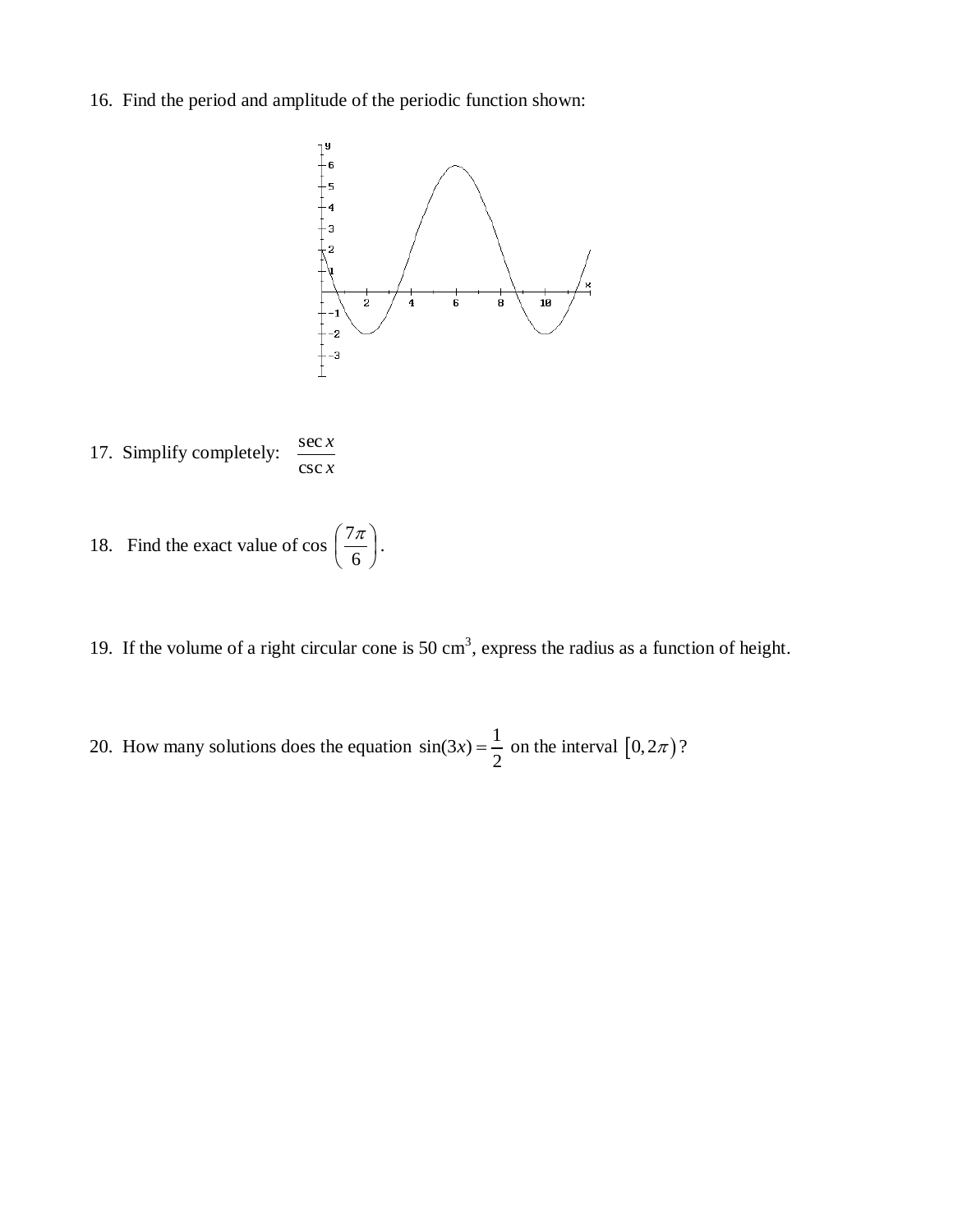16. Find the period and amplitude of the periodic function shown:



- 17. Simplify completely: *x* csc *x* sec
- 18. Find the exact value of cos  $\left| \frac{7\pi}{6} \right|$ J  $\left(\frac{7\pi}{4}\right)$  $\setminus$ ſ 6  $\left(\frac{7\pi}{4}\right)$ .
- 19. If the volume of a right circular cone is 50  $\text{cm}^3$ , express the radius as a function of height.
- 20. How many solutions does the equation  $sin(3x) = \frac{1}{2}$ 2  $f(x) = \frac{1}{2}$  on the interval  $[0, 2\pi$  ?